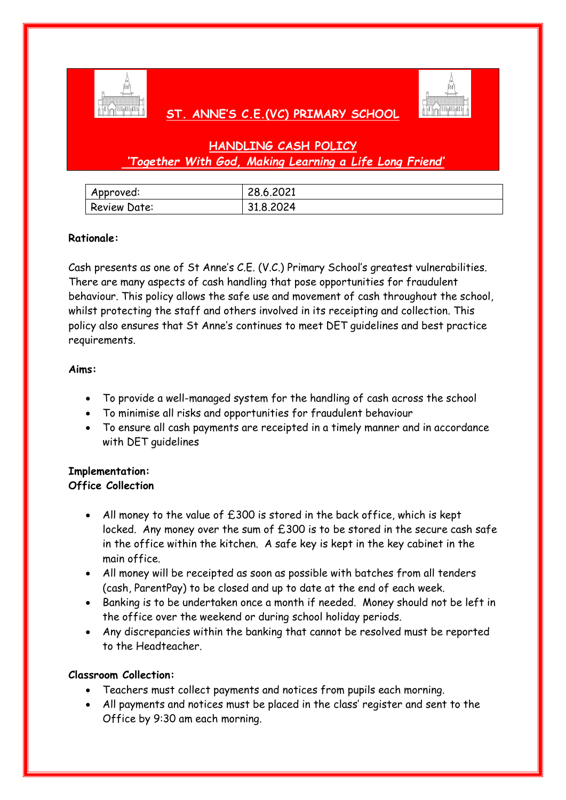

## **ST. ANNE'S C.E.(VC) PRIMARY SCHOOL**



# **HANDLING CASH POLICY** *'Together With God, Making Learning a Life Long Friend'*

| Approved:           | 28.6.2021 |
|---------------------|-----------|
| <b>Review Date:</b> | 31.8.2024 |

### **Rationale:**

Cash presents as one of St Anne's C.E. (V.C.) Primary School's greatest vulnerabilities. There are many aspects of cash handling that pose opportunities for fraudulent behaviour. This policy allows the safe use and movement of cash throughout the school, whilst protecting the staff and others involved in its receipting and collection. This policy also ensures that St Anne's continues to meet DET guidelines and best practice requirements.

#### **Aims:**

- To provide a well-managed system for the handling of cash across the school
- To minimise all risks and opportunities for fraudulent behaviour
- To ensure all cash payments are receipted in a timely manner and in accordance with DET guidelines

#### **Implementation: Office Collection**

- All money to the value of £300 is stored in the back office, which is kept locked. Any money over the sum of £300 is to be stored in the secure cash safe in the office within the kitchen. A safe key is kept in the key cabinet in the main office.
- All money will be receipted as soon as possible with batches from all tenders (cash, ParentPay) to be closed and up to date at the end of each week.
- Banking is to be undertaken once a month if needed. Money should not be left in the office over the weekend or during school holiday periods.
- Any discrepancies within the banking that cannot be resolved must be reported to the Headteacher.

#### **Classroom Collection:**

- Teachers must collect payments and notices from pupils each morning.
- All payments and notices must be placed in the class' register and sent to the Office by 9:30 am each morning.